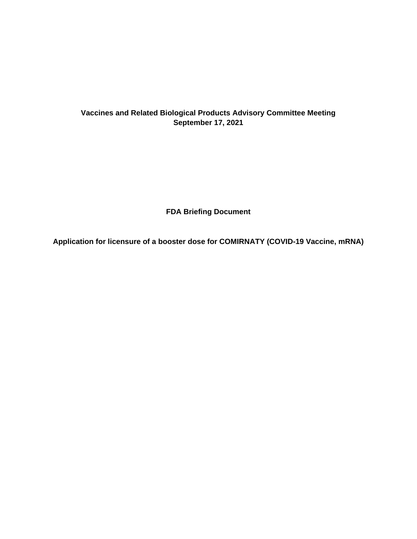# **Vaccines and Related Biological Products Advisory Committee Meeting September 17, 2021**

**FDA Briefing Document**

**Application for licensure of a booster dose for COMIRNATY (COVID-19 Vaccine, mRNA)**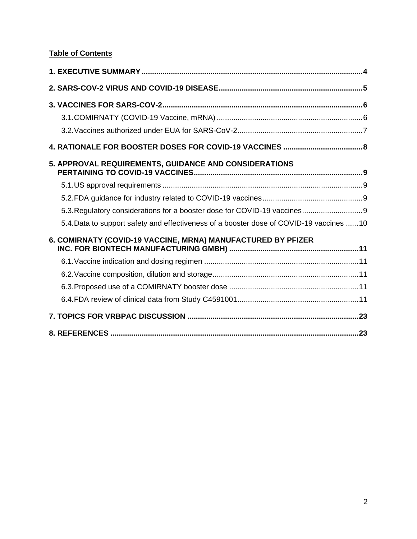# **Table of Contents**

| 5. APPROVAL REQUIREMENTS, GUIDANCE AND CONSIDERATIONS                                    |  |
|------------------------------------------------------------------------------------------|--|
|                                                                                          |  |
|                                                                                          |  |
| 5.3. Regulatory considerations for a booster dose for COVID-19 vaccines 9                |  |
| 5.4. Data to support safety and effectiveness of a booster dose of COVID-19 vaccines  10 |  |
| 6. COMIRNATY (COVID-19 VACCINE, MRNA) MANUFACTURED BY PFIZER                             |  |
|                                                                                          |  |
|                                                                                          |  |
|                                                                                          |  |
|                                                                                          |  |
|                                                                                          |  |
|                                                                                          |  |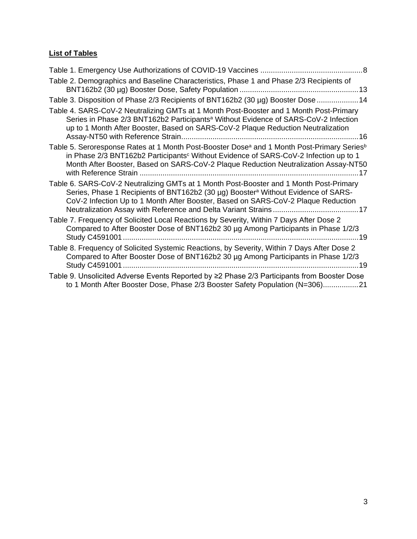# **List of Tables**

| Table 1. Emergency Use Authorizations of COVID-19 Vaccines<br>. 8                                                                                                                                                                                                                                             |
|---------------------------------------------------------------------------------------------------------------------------------------------------------------------------------------------------------------------------------------------------------------------------------------------------------------|
| Table 2. Demographics and Baseline Characteristics, Phase 1 and Phase 2/3 Recipients of                                                                                                                                                                                                                       |
| Table 3. Disposition of Phase 2/3 Recipients of BNT162b2 (30 µg) Booster Dose  14                                                                                                                                                                                                                             |
| Table 4. SARS-CoV-2 Neutralizing GMTs at 1 Month Post-Booster and 1 Month Post-Primary<br>Series in Phase 2/3 BNT162b2 Participants <sup>a</sup> Without Evidence of SARS-CoV-2 Infection<br>up to 1 Month After Booster, Based on SARS-CoV-2 Plaque Reduction Neutralization                                 |
| Table 5. Seroresponse Rates at 1 Month Post-Booster Dose <sup>a</sup> and 1 Month Post-Primary Series <sup>b</sup><br>in Phase 2/3 BNT162b2 Participants <sup>c</sup> Without Evidence of SARS-CoV-2 Infection up to 1<br>Month After Booster, Based on SARS-CoV-2 Plaque Reduction Neutralization Assay-NT50 |
| Table 6. SARS-CoV-2 Neutralizing GMTs at 1 Month Post-Booster and 1 Month Post-Primary<br>Series, Phase 1 Recipients of BNT162b2 (30 µg) Booster <sup>a</sup> Without Evidence of SARS-<br>CoV-2 Infection Up to 1 Month After Booster, Based on SARS-CoV-2 Plaque Reduction                                  |
| Table 7. Frequency of Solicited Local Reactions by Severity, Within 7 Days After Dose 2<br>Compared to After Booster Dose of BNT162b2 30 µg Among Participants in Phase 1/2/3                                                                                                                                 |
| Table 8. Frequency of Solicited Systemic Reactions, by Severity, Within 7 Days After Dose 2<br>Compared to After Booster Dose of BNT162b2 30 µg Among Participants in Phase 1/2/3<br>19                                                                                                                       |
| Table 9. Unsolicited Adverse Events Reported by ≥2 Phase 2/3 Participants from Booster Dose<br>to 1 Month After Booster Dose, Phase 2/3 Booster Safety Population (N=306)21                                                                                                                                   |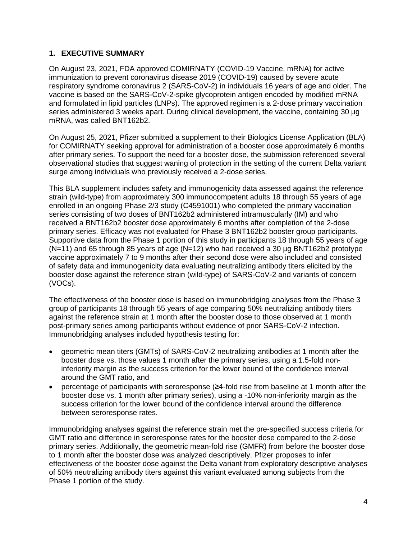### **1. EXECUTIVE SUMMARY**

On August 23, 2021, FDA approved COMIRNATY (COVID-19 Vaccine, mRNA) for active immunization to prevent coronavirus disease 2019 (COVID-19) caused by severe acute respiratory syndrome coronavirus 2 (SARS-CoV-2) in individuals 16 years of age and older. The vaccine is based on the SARS-CoV-2-spike glycoprotein antigen encoded by modified mRNA and formulated in lipid particles (LNPs). The approved regimen is a 2-dose primary vaccination series administered 3 weeks apart. During clinical development, the vaccine, containing 30 µg mRNA, was called BNT162b2.

On August 25, 2021, Pfizer submitted a supplement to their Biologics License Application (BLA) for COMIRNATY seeking approval for administration of a booster dose approximately 6 months after primary series. To support the need for a booster dose, the submission referenced several observational studies that suggest waning of protection in the setting of the current Delta variant surge among individuals who previously received a 2-dose series.

This BLA supplement includes safety and immunogenicity data assessed against the reference strain (wild-type) from approximately 300 immunocompetent adults 18 through 55 years of age enrolled in an ongoing Phase 2/3 study (C4591001) who completed the primary vaccination series consisting of two doses of BNT162b2 administered intramuscularly (IM) and who received a BNT162b2 booster dose approximately 6 months after completion of the 2-dose primary series. Efficacy was not evaluated for Phase 3 BNT162b2 booster group participants. Supportive data from the Phase 1 portion of this study in participants 18 through 55 years of age  $(N=11)$  and 65 through 85 years of age  $(N=12)$  who had received a 30 µg BNT162b2 prototype vaccine approximately 7 to 9 months after their second dose were also included and consisted of safety data and immunogenicity data evaluating neutralizing antibody titers elicited by the booster dose against the reference strain (wild-type) of SARS-CoV-2 and variants of concern (VOCs).

The effectiveness of the booster dose is based on immunobridging analyses from the Phase 3 group of participants 18 through 55 years of age comparing 50% neutralizing antibody titers against the reference strain at 1 month after the booster dose to those observed at 1 month post-primary series among participants without evidence of prior SARS-CoV-2 infection. Immunobridging analyses included hypothesis testing for:

- geometric mean titers (GMTs) of SARS-CoV-2 neutralizing antibodies at 1 month after the booster dose vs. those values 1 month after the primary series, using a 1.5-fold noninferiority margin as the success criterion for the lower bound of the confidence interval around the GMT ratio, and
- percentage of participants with seroresponse (≥4-fold rise from baseline at 1 month after the booster dose vs. 1 month after primary series), using a -10% non-inferiority margin as the success criterion for the lower bound of the confidence interval around the difference between seroresponse rates.

Immunobridging analyses against the reference strain met the pre-specified success criteria for GMT ratio and difference in seroresponse rates for the booster dose compared to the 2-dose primary series. Additionally, the geometric mean-fold rise (GMFR) from before the booster dose to 1 month after the booster dose was analyzed descriptively. Pfizer proposes to infer effectiveness of the booster dose against the Delta variant from exploratory descriptive analyses of 50% neutralizing antibody titers against this variant evaluated among subjects from the Phase 1 portion of the study.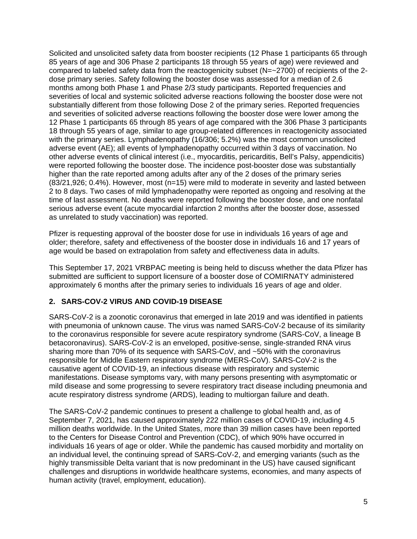Solicited and unsolicited safety data from booster recipients (12 Phase 1 participants 65 through 85 years of age and 306 Phase 2 participants 18 through 55 years of age) were reviewed and compared to labeled safety data from the reactogenicity subset (N=~2700) of recipients of the 2 dose primary series. Safety following the booster dose was assessed for a median of 2.6 months among both Phase 1 and Phase 2/3 study participants. Reported frequencies and severities of local and systemic solicited adverse reactions following the booster dose were not substantially different from those following Dose 2 of the primary series. Reported frequencies and severities of solicited adverse reactions following the booster dose were lower among the 12 Phase 1 participants 65 through 85 years of age compared with the 306 Phase 3 participants 18 through 55 years of age, similar to age group-related differences in reactogenicity associated with the primary series. Lymphadenopathy (16/306; 5.2%) was the most common unsolicited adverse event (AE); all events of lymphadenopathy occurred within 3 days of vaccination. No other adverse events of clinical interest (i.e., myocarditis, pericarditis, Bell's Palsy, appendicitis) were reported following the booster dose. The incidence post-booster dose was substantially higher than the rate reported among adults after any of the 2 doses of the primary series (83/21,926; 0.4%). However, most (n=15) were mild to moderate in severity and lasted between 2 to 8 days. Two cases of mild lymphadenopathy were reported as ongoing and resolving at the time of last assessment. No deaths were reported following the booster dose, and one nonfatal serious adverse event (acute myocardial infarction 2 months after the booster dose, assessed as unrelated to study vaccination) was reported.

Pfizer is requesting approval of the booster dose for use in individuals 16 years of age and older; therefore, safety and effectiveness of the booster dose in individuals 16 and 17 years of age would be based on extrapolation from safety and effectiveness data in adults.

This September 17, 2021 VRBPAC meeting is being held to discuss whether the data Pfizer has submitted are sufficient to support licensure of a booster dose of COMIRNATY administered approximately 6 months after the primary series to individuals 16 years of age and older.

# **2. SARS-COV-2 VIRUS AND COVID-19 DISEASE**

SARS-CoV-2 is a zoonotic coronavirus that emerged in late 2019 and was identified in patients with pneumonia of unknown cause. The virus was named SARS-CoV-2 because of its similarity to the coronavirus responsible for severe acute respiratory syndrome (SARS-CoV, a lineage B betacoronavirus). SARS-CoV-2 is an enveloped, positive-sense, single-stranded RNA virus sharing more than 70% of its sequence with SARS-CoV, and ~50% with the coronavirus responsible for Middle Eastern respiratory syndrome (MERS-CoV). SARS-CoV-2 is the causative agent of COVID-19, an infectious disease with respiratory and systemic manifestations. Disease symptoms vary, with many persons presenting with asymptomatic or mild disease and some progressing to severe respiratory tract disease including pneumonia and acute respiratory distress syndrome (ARDS), leading to multiorgan failure and death.

The SARS-CoV-2 pandemic continues to present a challenge to global health and, as of September 7, 2021, has caused approximately 222 million cases of COVID-19, including 4.5 million deaths worldwide. In the United States, more than 39 million cases have been reported to the Centers for Disease Control and Prevention (CDC), of which 90% have occurred in individuals 16 years of age or older. While the pandemic has caused morbidity and mortality on an individual level, the continuing spread of SARS-CoV-2, and emerging variants (such as the highly transmissible Delta variant that is now predominant in the US) have caused significant challenges and disruptions in worldwide healthcare systems, economies, and many aspects of human activity (travel, employment, education).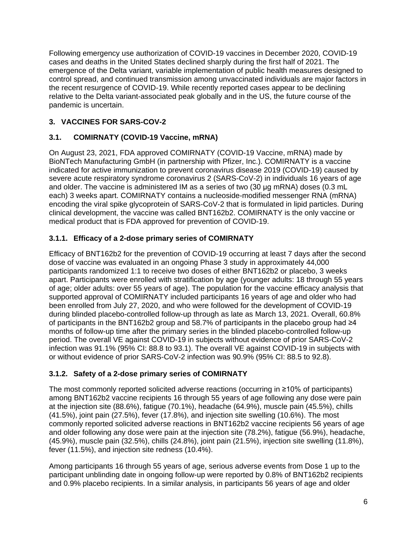Following emergency use authorization of COVID-19 vaccines in December 2020, COVID-19 cases and deaths in the United States declined sharply during the first half of 2021. The emergence of the Delta variant, variable implementation of public health measures designed to control spread, and continued transmission among unvaccinated individuals are major factors in the recent resurgence of COVID-19. While recently reported cases appear to be declining relative to the Delta variant-associated peak globally and in the US, the future course of the pandemic is uncertain.

# **3. VACCINES FOR SARS-COV-2**

# **3.1. COMIRNATY (COVID-19 Vaccine, mRNA)**

On August 23, 2021, FDA approved COMIRNATY (COVID-19 Vaccine, mRNA) made by BioNTech Manufacturing GmbH (in partnership with Pfizer, Inc.). COMIRNATY is a vaccine indicated for active immunization to prevent coronavirus disease 2019 (COVID-19) caused by severe acute respiratory syndrome coronavirus 2 (SARS-CoV-2) in individuals 16 years of age and older. The vaccine is administered IM as a series of two (30 μg mRNA) doses (0.3 mL each) 3 weeks apart. COMIRNATY contains a nucleoside-modified messenger RNA (mRNA) encoding the viral spike glycoprotein of SARS-CoV-2 that is formulated in lipid particles. During clinical development, the vaccine was called BNT162b2. COMIRNATY is the only vaccine or medical product that is FDA approved for prevention of COVID-19.

# **3.1.1. Efficacy of a 2-dose primary series of COMIRNATY**

Efficacy of BNT162b2 for the prevention of COVID-19 occurring at least 7 days after the second dose of vaccine was evaluated in an ongoing Phase 3 study in approximately 44,000 participants randomized 1:1 to receive two doses of either BNT162b2 or placebo, 3 weeks apart. Participants were enrolled with stratification by age (younger adults: 18 through 55 years of age; older adults: over 55 years of age). The population for the vaccine efficacy analysis that supported approval of COMIRNATY included participants 16 years of age and older who had been enrolled from July 27, 2020, and who were followed for the development of COVID-19 during blinded placebo-controlled follow-up through as late as March 13, 2021. Overall, 60.8% of participants in the BNT162b2 group and 58.7% of participants in the placebo group had ≥4 months of follow-up time after the primary series in the blinded placebo-controlled follow-up period. The overall VE against COVID-19 in subjects without evidence of prior SARS-CoV-2 infection was 91.1% (95% CI: 88.8 to 93.1). The overall VE against COVID-19 in subjects with or without evidence of prior SARS-CoV-2 infection was 90.9% (95% CI: 88.5 to 92.8).

# **3.1.2. Safety of a 2-dose primary series of COMIRNATY**

The most commonly reported solicited adverse reactions (occurring in ≥10% of participants) among BNT162b2 vaccine recipients 16 through 55 years of age following any dose were pain at the injection site (88.6%), fatigue (70.1%), headache (64.9%), muscle pain (45.5%), chills (41.5%), joint pain (27.5%), fever (17.8%), and injection site swelling (10.6%). The most commonly reported solicited adverse reactions in BNT162b2 vaccine recipients 56 years of age and older following any dose were pain at the injection site (78.2%), fatigue (56.9%), headache, (45.9%), muscle pain (32.5%), chills (24.8%), joint pain (21.5%), injection site swelling (11.8%), fever (11.5%), and injection site redness (10.4%).

Among participants 16 through 55 years of age, serious adverse events from Dose 1 up to the participant unblinding date in ongoing follow-up were reported by 0.8% of BNT162b2 recipients and 0.9% placebo recipients. In a similar analysis, in participants 56 years of age and older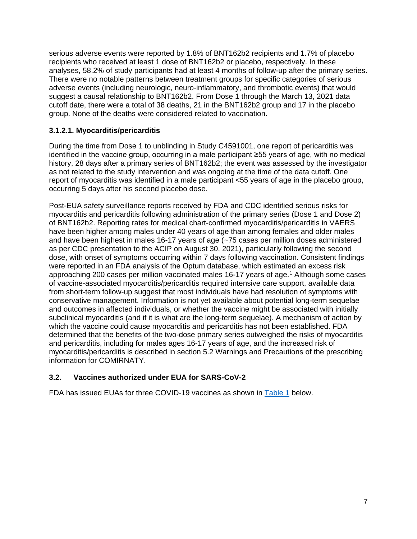serious adverse events were reported by 1.8% of BNT162b2 recipients and 1.7% of placebo recipients who received at least 1 dose of BNT162b2 or placebo, respectively. In these analyses, 58.2% of study participants had at least 4 months of follow-up after the primary series. There were no notable patterns between treatment groups for specific categories of serious adverse events (including neurologic, neuro-inflammatory, and thrombotic events) that would suggest a causal relationship to BNT162b2. From Dose 1 through the March 13, 2021 data cutoff date, there were a total of 38 deaths, 21 in the BNT162b2 group and 17 in the placebo group. None of the deaths were considered related to vaccination.

# **3.1.2.1. Myocarditis/pericarditis**

During the time from Dose 1 to unblinding in Study C4591001, one report of pericarditis was identified in the vaccine group, occurring in a male participant ≥55 years of age, with no medical history, 28 days after a primary series of BNT162b2; the event was assessed by the investigator as not related to the study intervention and was ongoing at the time of the data cutoff. One report of myocarditis was identified in a male participant <55 years of age in the placebo group, occurring 5 days after his second placebo dose.

Post-EUA safety surveillance reports received by FDA and CDC identified serious risks for myocarditis and pericarditis following administration of the primary series (Dose 1 and Dose 2) of BNT162b2. Reporting rates for medical chart-confirmed myocarditis/pericarditis in VAERS have been higher among males under 40 years of age than among females and older males and have been highest in males 16-17 years of age (~75 cases per million doses administered as per CDC presentation to the ACIP on August 30, 2021), particularly following the second dose, with onset of symptoms occurring within 7 days following vaccination. Consistent findings were reported in an FDA analysis of the Optum database, which estimated an excess risk approaching 200 cases per million vaccinated males 16-17 years of age.1 Although some cases of vaccine-associated myocarditis/pericarditis required intensive care support, available data from short-term follow-up suggest that most individuals have had resolution of symptoms with conservative management. Information is not yet available about potential long-term sequelae and outcomes in affected individuals, or whether the vaccine might be associated with initially subclinical myocarditis (and if it is what are the long-term sequelae). A mechanism of action by which the vaccine could cause myocarditis and pericarditis has not been established. FDA determined that the benefits of the two-dose primary series outweighed the risks of myocarditis and pericarditis, including for males ages 16-17 years of age, and the increased risk of myocarditis/pericarditis is described in section 5.2 Warnings and Precautions of the prescribing information for COMIRNATY.

# **3.2. Vaccines authorized under EUA for SARS-CoV-2**

FDA has issued EUAs for three COVID-19 vaccines as shown in Table 1 below.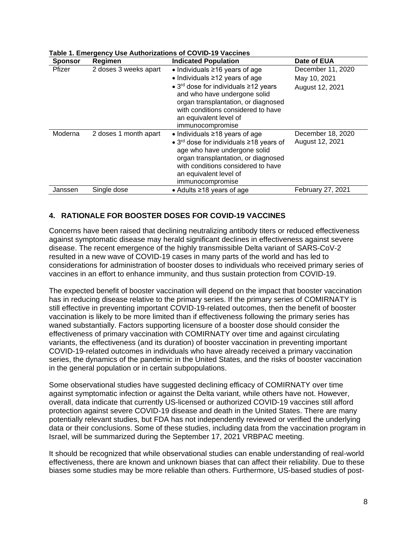| <b>Sponsor</b> | Regimen               | <b>Indicated Population</b>                                                                                                                                                                                                                                                               | Date of EUA                                          |
|----------------|-----------------------|-------------------------------------------------------------------------------------------------------------------------------------------------------------------------------------------------------------------------------------------------------------------------------------------|------------------------------------------------------|
| Pfizer         | 2 doses 3 weeks apart | • Individuals $\geq$ 16 years of age<br>$\bullet$ Individuals $\geq$ 12 years of age<br>• $3rd$ dose for individuals ≥12 years<br>and who have undergone solid<br>organ transplantation, or diagnosed<br>with conditions considered to have<br>an equivalent level of<br>immunocompromise | December 11, 2020<br>May 10, 2021<br>August 12, 2021 |
| Moderna        | 2 doses 1 month apart | $\bullet$ Individuals $\geq$ 18 years of age<br>• 3 <sup>rd</sup> dose for individuals ≥18 years of<br>age who have undergone solid<br>organ transplantation, or diagnosed<br>with conditions considered to have<br>an equivalent level of<br>immunocompromise                            | December 18, 2020<br>August 12, 2021                 |
| Janssen        | Single dose           | • Adults $\geq$ 18 years of age                                                                                                                                                                                                                                                           | <b>February 27, 2021</b>                             |

#### **Table 1. Emergency Use Authorizations of COVID-19 Vaccines**

# **4. RATIONALE FOR BOOSTER DOSES FOR COVID-19 VACCINES**

Concerns have been raised that declining neutralizing antibody titers or reduced effectiveness against symptomatic disease may herald significant declines in effectiveness against severe disease. The recent emergence of the highly transmissible Delta variant of SARS-CoV-2 resulted in a new wave of COVID-19 cases in many parts of the world and has led to considerations for administration of booster doses to individuals who received primary series of vaccines in an effort to enhance immunity, and thus sustain protection from COVID-19.

The expected benefit of booster vaccination will depend on the impact that booster vaccination has in reducing disease relative to the primary series. If the primary series of COMIRNATY is still effective in preventing important COVID-19-related outcomes, then the benefit of booster vaccination is likely to be more limited than if effectiveness following the primary series has waned substantially. Factors supporting licensure of a booster dose should consider the effectiveness of primary vaccination with COMIRNATY over time and against circulating variants, the effectiveness (and its duration) of booster vaccination in preventing important COVID-19-related outcomes in individuals who have already received a primary vaccination series, the dynamics of the pandemic in the United States, and the risks of booster vaccination in the general population or in certain subpopulations.

Some observational studies have suggested declining efficacy of COMIRNATY over time against symptomatic infection or against the Delta variant, while others have not. However, overall, data indicate that currently US-licensed or authorized COVID-19 vaccines still afford protection against severe COVID-19 disease and death in the United States. There are many potentially relevant studies, but FDA has not independently reviewed or verified the underlying data or their conclusions. Some of these studies, including data from the vaccination program in Israel, will be summarized during the September 17, 2021 VRBPAC meeting.

It should be recognized that while observational studies can enable understanding of real-world effectiveness, there are known and unknown biases that can affect their reliability. Due to these biases some studies may be more reliable than others. Furthermore, US-based studies of post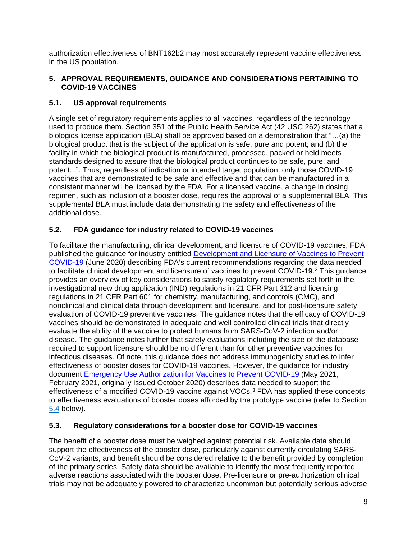authorization effectiveness of BNT162b2 may most accurately represent vaccine effectiveness in the US population.

# **5. APPROVAL REQUIREMENTS, GUIDANCE AND CONSIDERATIONS PERTAINING TO COVID-19 VACCINES**

# **5.1. US approval requirements**

A single set of regulatory requirements applies to all vaccines, regardless of the technology used to produce them. Section 351 of the Public Health Service Act (42 USC 262) states that a biologics license application (BLA) shall be approved based on a demonstration that "…(a) the biological product that is the subject of the application is safe, pure and potent; and (b) the facility in which the biological product is manufactured, processed, packed or held meets standards designed to assure that the biological product continues to be safe, pure, and potent...". Thus, regardless of indication or intended target population, only those COVID-19 vaccines that are demonstrated to be safe and effective and that can be manufactured in a consistent manner will be licensed by the FDA. For a licensed vaccine, a change in dosing regimen, such as inclusion of a booster dose, requires the approval of a supplemental BLA. This supplemental BLA must include data demonstrating the safety and effectiveness of the additional dose.

# **5.2. FDA guidance for industry related to COVID-19 vaccines**

To facilitate the manufacturing, clinical development, and licensure of COVID-19 vaccines, FDA published the guidance for industry entitled Development and Licensure of Vaccines to Prevent COVID-19 (June 2020) describing FDA's current recommendations regarding the data needed to facilitate clinical development and licensure of vaccines to prevent COVID-19.2 This guidance provides an overview of key considerations to satisfy regulatory requirements set forth in the investigational new drug application (IND) regulations in 21 CFR Part 312 and licensing regulations in 21 CFR Part 601 for chemistry, manufacturing, and controls (CMC), and nonclinical and clinical data through development and licensure, and for post-licensure safety evaluation of COVID-19 preventive vaccines. The guidance notes that the efficacy of COVID-19 vaccines should be demonstrated in adequate and well controlled clinical trials that directly evaluate the ability of the vaccine to protect humans from SARS-CoV-2 infection and/or disease. The guidance notes further that safety evaluations including the size of the database required to support licensure should be no different than for other preventive vaccines for infectious diseases. Of note, this guidance does not address immunogenicity studies to infer effectiveness of booster doses for COVID-19 vaccines. However, the guidance for industry document Emergency Use Authorization for Vaccines to Prevent COVID-19 (May 2021, February 2021, originally issued October 2020) describes data needed to support the effectiveness of a modified COVID-19 vaccine against VOCs.3 FDA has applied these concepts to effectiveness evaluations of booster doses afforded by the prototype vaccine (refer to Section 5.4 below).

# **5.3. Regulatory considerations for a booster dose for COVID-19 vaccines**

The benefit of a booster dose must be weighed against potential risk. Available data should support the effectiveness of the booster dose, particularly against currently circulating SARS-CoV-2 variants, and benefit should be considered relative to the benefit provided by completion of the primary series. Safety data should be available to identify the most frequently reported adverse reactions associated with the booster dose. Pre-licensure or pre-authorization clinical trials may not be adequately powered to characterize uncommon but potentially serious adverse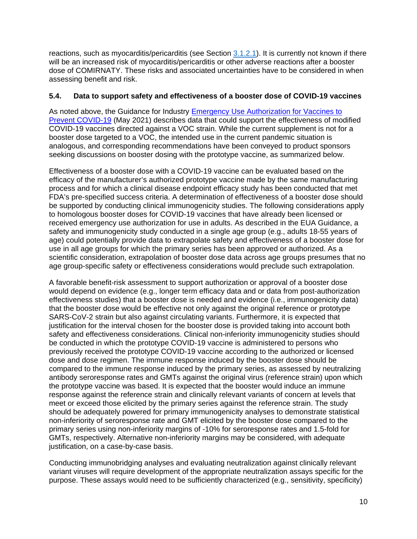reactions, such as myocarditis/pericarditis (see Section 3.1.2.1). It is currently not known if there will be an increased risk of myocarditis/pericarditis or other adverse reactions after a booster dose of COMIRNATY. These risks and associated uncertainties have to be considered in when assessing benefit and risk.

### **5.4. Data to support safety and effectiveness of a booster dose of COVID-19 vaccines**

As noted above, the Guidance for Industry Emergency Use Authorization for Vaccines to Prevent COVID-19 (May 2021) describes data that could support the effectiveness of modified COVID-19 vaccines directed against a VOC strain. While the current supplement is not for a booster dose targeted to a VOC, the intended use in the current pandemic situation is analogous, and corresponding recommendations have been conveyed to product sponsors seeking discussions on booster dosing with the prototype vaccine, as summarized below.

Effectiveness of a booster dose with a COVID-19 vaccine can be evaluated based on the efficacy of the manufacturer's authorized prototype vaccine made by the same manufacturing process and for which a clinical disease endpoint efficacy study has been conducted that met FDA's pre-specified success criteria. A determination of effectiveness of a booster dose should be supported by conducting clinical immunogenicity studies. The following considerations apply to homologous booster doses for COVID-19 vaccines that have already been licensed or received emergency use authorization for use in adults. As described in the EUA Guidance, a safety and immunogenicity study conducted in a single age group (e.g., adults 18-55 years of age) could potentially provide data to extrapolate safety and effectiveness of a booster dose for use in all age groups for which the primary series has been approved or authorized. As a scientific consideration, extrapolation of booster dose data across age groups presumes that no age group-specific safety or effectiveness considerations would preclude such extrapolation.

A favorable benefit-risk assessment to support authorization or approval of a booster dose would depend on evidence (e.g., longer term efficacy data and or data from post-authorization effectiveness studies) that a booster dose is needed and evidence (i.e., immunogenicity data) that the booster dose would be effective not only against the original reference or prototype SARS-CoV-2 strain but also against circulating variants. Furthermore, it is expected that justification for the interval chosen for the booster dose is provided taking into account both safety and effectiveness considerations. Clinical non-inferiority immunogenicity studies should be conducted in which the prototype COVID-19 vaccine is administered to persons who previously received the prototype COVID-19 vaccine according to the authorized or licensed dose and dose regimen. The immune response induced by the booster dose should be compared to the immune response induced by the primary series, as assessed by neutralizing antibody seroresponse rates and GMTs against the original virus (reference strain) upon which the prototype vaccine was based. It is expected that the booster would induce an immune response against the reference strain and clinically relevant variants of concern at levels that meet or exceed those elicited by the primary series against the reference strain. The study should be adequately powered for primary immunogenicity analyses to demonstrate statistical non-inferiority of seroresponse rate and GMT elicited by the booster dose compared to the primary series using non-inferiority margins of -10% for seroresponse rates and 1.5-fold for GMTs, respectively. Alternative non-inferiority margins may be considered, with adequate justification, on a case-by-case basis.

Conducting immunobridging analyses and evaluating neutralization against clinically relevant variant viruses will require development of the appropriate neutralization assays specific for the purpose. These assays would need to be sufficiently characterized (e.g., sensitivity, specificity)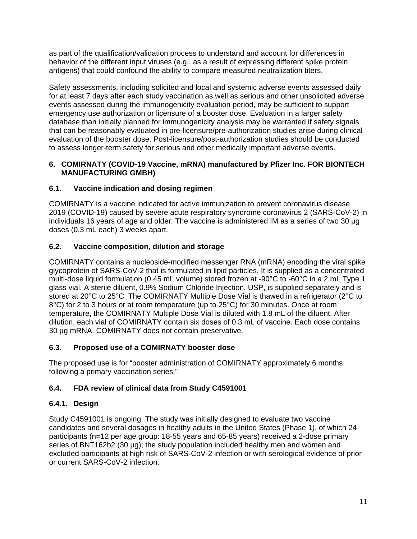as part of the qualification/validation process to understand and account for differences in behavior of the different input viruses (e.g., as a result of expressing different spike protein antigens) that could confound the ability to compare measured neutralization titers.

Safety assessments, including solicited and local and systemic adverse events assessed daily for at least 7 days after each study vaccination as well as serious and other unsolicited adverse events assessed during the immunogenicity evaluation period, may be sufficient to support emergency use authorization or licensure of a booster dose. Evaluation in a larger safety database than initially planned for immunogenicity analysis may be warranted if safety signals that can be reasonably evaluated in pre-licensure/pre-authorization studies arise during clinical evaluation of the booster dose. Post-licensure/post-authorization studies should be conducted to assess longer-term safety for serious and other medically important adverse events.

### **6. COMIRNATY (COVID-19 Vaccine, mRNA) manufactured by Pfizer Inc. FOR BIONTECH MANUFACTURING GMBH)**

# **6.1. Vaccine indication and dosing regimen**

COMIRNATY is a vaccine indicated for active immunization to prevent coronavirus disease 2019 (COVID-19) caused by severe acute respiratory syndrome coronavirus 2 (SARS-CoV-2) in individuals 16 years of age and older. The vaccine is administered IM as a series of two 30 μg doses (0.3 mL each) 3 weeks apart.

# **6.2. Vaccine composition, dilution and storage**

COMIRNATY contains a nucleoside-modified messenger RNA (mRNA) encoding the viral spike glycoprotein of SARS-CoV-2 that is formulated in lipid particles. It is supplied as a concentrated multi-dose liquid formulation (0.45 mL volume) stored frozen at -90°C to -60°C in a 2 mL Type 1 glass vial. A sterile diluent, 0.9% Sodium Chloride Injection, USP, is supplied separately and is stored at 20°C to 25°C. The COMIRNATY Multiple Dose Vial is thawed in a refrigerator (2°C to 8°C) for 2 to 3 hours or at room temperature (up to 25°C) for 30 minutes. Once at room temperature, the COMIRNATY Multiple Dose Vial is diluted with 1.8 mL of the diluent. After dilution, each vial of COMIRNATY contain six doses of 0.3 mL of vaccine. Each dose contains 30 µg mRNA. COMIRNATY does not contain preservative.

# **6.3. Proposed use of a COMIRNATY booster dose**

The proposed use is for "booster administration of COMIRNATY approximately 6 months following a primary vaccination series."

# **6.4. FDA review of clinical data from Study C4591001**

# **6.4.1. Design**

Study C4591001 is ongoing. The study was initially designed to evaluate two vaccine candidates and several dosages in healthy adults in the United States (Phase 1), of which 24 participants (n=12 per age group: 18-55 years and 65-85 years) received a 2-dose primary series of BNT162b2 (30 µg); the study population included healthy men and women and excluded participants at high risk of SARS-CoV-2 infection or with serological evidence of prior or current SARS-CoV-2 infection.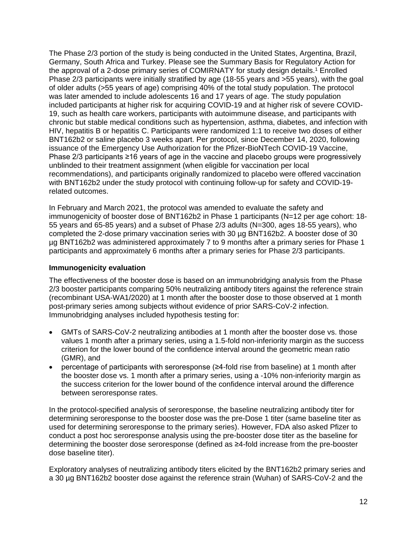The Phase 2/3 portion of the study is being conducted in the United States, Argentina, Brazil, Germany, South Africa and Turkey. Please see the Summary Basis for Regulatory Action for the approval of a 2-dose primary series of COMIRNATY for study design details. <sup>1</sup> Enrolled Phase 2/3 participants were initially stratified by age (18-55 years and >55 years), with the goal of older adults (>55 years of age) comprising 40% of the total study population. The protocol was later amended to include adolescents 16 and 17 years of age. The study population included participants at higher risk for acquiring COVID-19 and at higher risk of severe COVID-19, such as health care workers, participants with autoimmune disease, and participants with chronic but stable medical conditions such as hypertension, asthma, diabetes, and infection with HIV, hepatitis B or hepatitis C. Participants were randomized 1:1 to receive two doses of either BNT162b2 or saline placebo 3 weeks apart. Per protocol, since December 14, 2020, following issuance of the Emergency Use Authorization for the Pfizer-BioNTech COVID-19 Vaccine, Phase 2/3 participants ≥16 years of age in the vaccine and placebo groups were progressively unblinded to their treatment assignment (when eligible for vaccination per local recommendations), and participants originally randomized to placebo were offered vaccination with BNT162b2 under the study protocol with continuing follow-up for safety and COVID-19 related outcomes.

In February and March 2021, the protocol was amended to evaluate the safety and immunogenicity of booster dose of BNT162b2 in Phase 1 participants (N=12 per age cohort: 18- 55 years and 65-85 years) and a subset of Phase 2/3 adults (N=300, ages 18-55 years), who completed the 2-dose primary vaccination series with 30 µg BNT162b2. A booster dose of 30 µg BNT162b2 was administered approximately 7 to 9 months after a primary series for Phase 1 participants and approximately 6 months after a primary series for Phase 2/3 participants.

### **Immunogenicity evaluation**

The effectiveness of the booster dose is based on an immunobridging analysis from the Phase 2/3 booster participants comparing 50% neutralizing antibody titers against the reference strain (recombinant USA-WA1/2020) at 1 month after the booster dose to those observed at 1 month post-primary series among subjects without evidence of prior SARS-CoV-2 infection. Immunobridging analyses included hypothesis testing for:

- GMTs of SARS-CoV-2 neutralizing antibodies at 1 month after the booster dose vs. those values 1 month after a primary series, using a 1.5-fold non-inferiority margin as the success criterion for the lower bound of the confidence interval around the geometric mean ratio (GMR), and
- percentage of participants with seroresponse (≥4-fold rise from baseline) at 1 month after the booster dose vs. 1 month after a primary series, using a -10% non-inferiority margin as the success criterion for the lower bound of the confidence interval around the difference between seroresponse rates.

In the protocol-specified analysis of seroresponse, the baseline neutralizing antibody titer for determining seroresponse to the booster dose was the pre-Dose 1 titer (same baseline titer as used for determining seroresponse to the primary series). However, FDA also asked Pfizer to conduct a post hoc seroresponse analysis using the pre-booster dose titer as the baseline for determining the booster dose seroresponse (defined as ≥4-fold increase from the pre-booster dose baseline titer).

Exploratory analyses of neutralizing antibody titers elicited by the BNT162b2 primary series and a 30 µg BNT162b2 booster dose against the reference strain (Wuhan) of SARS-CoV-2 and the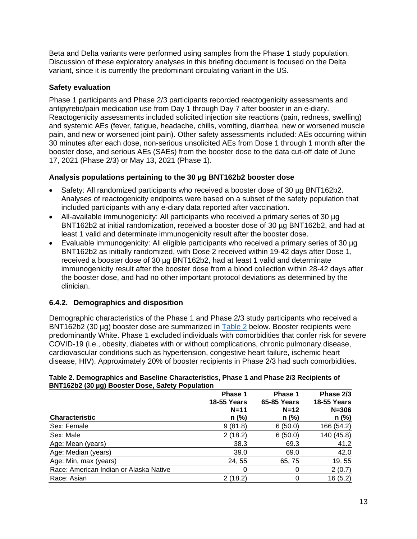Beta and Delta variants were performed using samples from the Phase 1 study population. Discussion of these exploratory analyses in this briefing document is focused on the Delta variant, since it is currently the predominant circulating variant in the US.

### **Safety evaluation**

Phase 1 participants and Phase 2/3 participants recorded reactogenicity assessments and antipyretic/pain medication use from Day 1 through Day 7 after booster in an e-diary. Reactogenicity assessments included solicited injection site reactions (pain, redness, swelling) and systemic AEs (fever, fatigue, headache, chills, vomiting, diarrhea, new or worsened muscle pain, and new or worsened joint pain). Other safety assessments included: AEs occurring within 30 minutes after each dose, non-serious unsolicited AEs from Dose 1 through 1 month after the booster dose, and serious AEs (SAEs) from the booster dose to the data cut-off date of June 17, 2021 (Phase 2/3) or May 13, 2021 (Phase 1).

### **Analysis populations pertaining to the 30 µg BNT162b2 booster dose**

- Safety: All randomized participants who received a booster dose of 30 µg BNT162b2. Analyses of reactogenicity endpoints were based on a subset of the safety population that included participants with any e-diary data reported after vaccination.
- All-available immunogenicity: All participants who received a primary series of 30 µg BNT162b2 at initial randomization, received a booster dose of 30 µg BNT162b2, and had at least 1 valid and determinate immunogenicity result after the booster dose.
- Evaluable immunogenicity: All eligible participants who received a primary series of 30 µg BNT162b2 as initially randomized, with Dose 2 received within 19-42 days after Dose 1, received a booster dose of 30 µg BNT162b2, had at least 1 valid and determinate immunogenicity result after the booster dose from a blood collection within 28-42 days after the booster dose, and had no other important protocol deviations as determined by the clinician.

# **6.4.2. Demographics and disposition**

Demographic characteristics of the Phase 1 and Phase 2/3 study participants who received a BNT162b2 (30 µg) booster dose are summarized in Table 2 below. Booster recipients were predominantly White. Phase 1 excluded individuals with comorbidities that confer risk for severe COVID-19 (i.e., obesity, diabetes with or without complications, chronic pulmonary disease, cardiovascular conditions such as hypertension, congestive heart failure, ischemic heart disease, HIV). Approximately 20% of booster recipients in Phase 2/3 had such comorbidities.

| BNTT62D2 (30 µg) Booster Dose, Safety Population | Phase 1<br><b>18-55 Years</b> | Phase 1<br><b>65-85 Years</b> | Phase 2/3<br><b>18-55 Years</b> |
|--------------------------------------------------|-------------------------------|-------------------------------|---------------------------------|
|                                                  | $N=11$                        | $N=12$                        | $N = 306$                       |
| <b>Characteristic</b>                            | $n$ (%)                       | $n$ (%)                       | n (%)                           |
| Sex: Female                                      | 9(81.8)                       | 6(50.0)                       | 166 (54.2)                      |
| Sex: Male                                        | 2(18.2)                       | 6(50.0)                       | 140 (45.8)                      |
| Age: Mean (years)                                | 38.3                          | 69.3                          | 41.2                            |
| Age: Median (years)                              | 39.0                          | 69.0                          | 42.0                            |
| Age: Min, max (years)                            | 24, 55                        | 65, 75                        | 19,55                           |
| Race: American Indian or Alaska Native           | 0                             | 0                             | 2(0.7)                          |
| Race: Asian                                      | 2(18.2)                       | 0                             | 16(5.2)                         |

#### **Table 2. Demographics and Baseline Characteristics, Phase 1 and Phase 2/3 Recipients of BNT162b2 (30 µg) Booster Dose, Safety Population**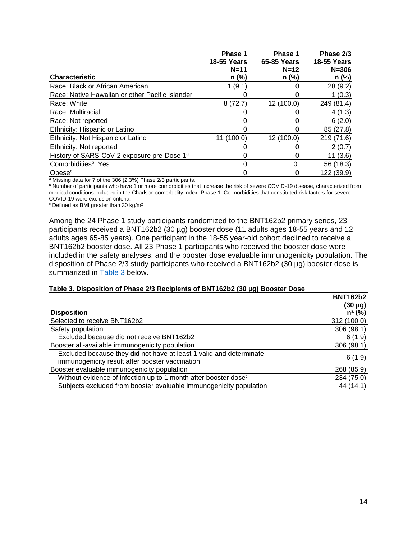|                                                        | Phase 1<br><b>18-55 Years</b> | Phase 1<br>65-85 Years | Phase 2/3<br><b>18-55 Years</b> |
|--------------------------------------------------------|-------------------------------|------------------------|---------------------------------|
|                                                        | $N=11$                        | $N=12$                 | $N = 306$                       |
| <b>Characteristic</b>                                  | $n$ (%)                       | n (%)                  | n (%)                           |
| Race: Black or African American                        | 1(9.1)                        |                        | 28 (9.2)                        |
| Race: Native Hawaiian or other Pacific Islander        |                               |                        | 1(0.3)                          |
| Race: White                                            | 8(72.7)                       | 12 (100.0)             | 249 (81.4)                      |
| Race: Multiracial                                      |                               |                        | 4(1.3)                          |
| Race: Not reported                                     | 0                             | 0                      | 6(2.0)                          |
| Ethnicity: Hispanic or Latino                          | 0                             |                        | 85 (27.8)                       |
| Ethnicity: Not Hispanic or Latino                      | (100.0)<br>11                 | 12 (100.0)             | 219 (71.6)                      |
| Ethnicity: Not reported                                |                               |                        | 2(0.7)                          |
| History of SARS-CoV-2 exposure pre-Dose 1 <sup>a</sup> | 0                             |                        | 11(3.6)                         |
| Comorbidities <sup>b</sup> : Yes                       | 0                             | 0                      | 56 (18.3)                       |
| Obese <sup>c</sup>                                     |                               |                        | 122 (39.9)                      |

a Missing data for 7 of the 306 (2.3%) Phase 2/3 participants.

b Number of participants who have 1 or more comorbidities that increase the risk of severe COVID-19 disease, characterized from medical conditions included in the Charlson comorbidity index. Phase 1: Co-morbidities that constituted risk factors for severe COVID-19 were exclusion criteria.

<sup>c</sup> Defined as BMI greater than 30 kg/m²

Among the 24 Phase 1 study participants randomized to the BNT162b2 primary series, 23 participants received a BNT162b2 (30 µg) booster dose (11 adults ages 18-55 years and 12 adults ages 65-85 years). One participant in the 18-55 year-old cohort declined to receive a BNT162b2 booster dose. All 23 Phase 1 participants who received the booster dose were included in the safety analyses, and the booster dose evaluable immunogenicity population. The disposition of Phase 2/3 study participants who received a BNT162b2 (30 µg) booster dose is summarized in Table 3 below.

#### **Table 3. Disposition of Phase 2/3 Recipients of BNT162b2 (30 µg) Booster Dose**

|                                                                             | <b>BNT162b2</b> |
|-----------------------------------------------------------------------------|-----------------|
|                                                                             | $(30 \mu g)$    |
| <b>Disposition</b>                                                          | $n^a$ (%)       |
| Selected to receive BNT162b2                                                | 312 (100.0)     |
| Safety population                                                           | 306 (98.1)      |
| Excluded because did not receive BNT162b2                                   | 6(1.9)          |
| Booster all-available immunogenicity population                             | 306 (98.1)      |
| Excluded because they did not have at least 1 valid and determinate         |                 |
| immunogenicity result after booster vaccination                             | 6(1.9)          |
| Booster evaluable immunogenicity population                                 | 268 (85.9)      |
| Without evidence of infection up to 1 month after booster dose <sup>c</sup> | 234 (75.0)      |
| Subjects excluded from booster evaluable immunogenicity population          | 44 (14.1)       |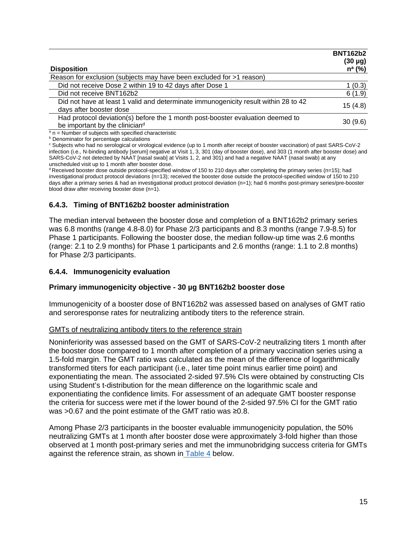| <b>Disposition</b>                                                                                               | <b>BNT162b2</b><br>$(30 \mu g)$<br>$n^a$ (%) |
|------------------------------------------------------------------------------------------------------------------|----------------------------------------------|
| Reason for exclusion (subjects may have been excluded for >1 reason)                                             |                                              |
| Did not receive Dose 2 within 19 to 42 days after Dose 1                                                         | 1(0.3)                                       |
| Did not receive BNT162b2                                                                                         | 6(1.9)                                       |
| Did not have at least 1 valid and determinate immunogenicity result within 28 to 42<br>days after booster dose   | 15(4.8)                                      |
| Had protocol deviation(s) before the 1 month post-booster evaluation deemed to<br>be important by the cliniciand | 30(9.6)                                      |
| $a_n$ n = Number of subjects with specified characteristic                                                       |                                              |

**b** Denominator for percentage calculations

<sup>c</sup> Subjects who had no serological or virological evidence (up to 1 month after receipt of booster vaccination) of past SARS-CoV-2 infection (i.e., N-binding antibody [serum] negative at Visit 1, 3, 301 (day of booster dose), and 303 (1 month after booster dose) and SARS-CoV-2 not detected by NAAT [nasal swab] at Visits 1, 2, and 301) and had a negative NAAT (nasal swab) at any unscheduled visit up to 1 month after booster dose.

 $d$  Received booster dose outside protocol-specified window of 150 to 210 days after completing the primary series (n=15); had investigational product protocol deviations (n=13); received the booster dose outside the protocol-specified window of 150 to 210 days after a primary series & had an investigational product protocol deviation (n=1); had 6 months post-primary series/pre-booster blood draw after receiving booster dose (n=1).

# **6.4.3. Timing of BNT162b2 booster administration**

The median interval between the booster dose and completion of a BNT162b2 primary series was 6.8 months (range 4.8-8.0) for Phase 2/3 participants and 8.3 months (range 7.9-8.5) for Phase 1 participants. Following the booster dose, the median follow-up time was 2.6 months (range: 2.1 to 2.9 months) for Phase 1 participants and 2.6 months (range: 1.1 to 2.8 months) for Phase 2/3 participants.

# **6.4.4. Immunogenicity evaluation**

# **Primary immunogenicity objective - 30 µg BNT162b2 booster dose**

Immunogenicity of a booster dose of BNT162b2 was assessed based on analyses of GMT ratio and seroresponse rates for neutralizing antibody titers to the reference strain.

# GMTs of neutralizing antibody titers to the reference strain

Noninferiority was assessed based on the GMT of SARS-CoV-2 neutralizing titers 1 month after the booster dose compared to 1 month after completion of a primary vaccination series using a 1.5-fold margin. The GMT ratio was calculated as the mean of the difference of logarithmically transformed titers for each participant (i.e., later time point minus earlier time point) and exponentiating the mean. The associated 2-sided 97.5% CIs were obtained by constructing CIs using Student's t-distribution for the mean difference on the logarithmic scale and exponentiating the confidence limits. For assessment of an adequate GMT booster response the criteria for success were met if the lower bound of the 2-sided 97.5% CI for the GMT ratio was >0.67 and the point estimate of the GMT ratio was ≥0.8.

Among Phase 2/3 participants in the booster evaluable immunogenicity population, the 50% neutralizing GMTs at 1 month after booster dose were approximately 3-fold higher than those observed at 1 month post-primary series and met the immunobridging success criteria for GMTs against the reference strain, as shown in Table 4 below.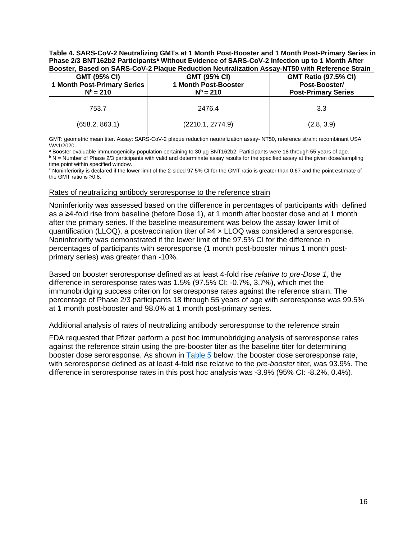**Table 4. SARS-CoV-2 Neutralizing GMTs at 1 Month Post-Booster and 1 Month Post-Primary Series in Phase 2/3 BNT162b2 Participantsa Without Evidence of SARS-CoV-2 Infection up to 1 Month After Booster, Based on SARS-CoV-2 Plaque Reduction Neutralization Assay-NT50 with Reference Strain**

| <b>GMT (95% CI)</b><br><b>1 Month Post-Primary Series</b><br>$N^b = 210$ | <b>GMT (95% CI)</b><br>1 Month Post-Booster<br>$N^b = 210$ | <b>GMT Ratio (97.5% CI)</b><br>Post-Booster/<br><b>Post-Primary Series</b> |
|--------------------------------------------------------------------------|------------------------------------------------------------|----------------------------------------------------------------------------|
| 753.7                                                                    | 2476.4                                                     | 3.3                                                                        |
| (658.2, 863.1)                                                           | (2210.1, 2774.9)                                           | (2.8, 3.9)                                                                 |

GMT: geometric mean titer. Assay: SARS-CoV-2 plaque reduction neutralization assay- NT50, reference strain: recombinant USA WA1/2020.

a Booster evaluable immunogenicity population pertaining to 30 µg BNT162b2. Participants were 18 through 55 years of age. b N = Number of Phase 2/3 participants with valid and determinate assay results for the specified assay at the given dose/sampling time point within specified window.

<sup>c</sup> Noninferiority is declared if the lower limit of the 2-sided 97.5% CI for the GMT ratio is greater than 0.67 and the point estimate of the GMT ratio is ≥0.8.

#### Rates of neutralizing antibody seroresponse to the reference strain

Noninferiority was assessed based on the difference in percentages of participants with defined as a ≥4-fold rise from baseline (before Dose 1), at 1 month after booster dose and at 1 month after the primary series. If the baseline measurement was below the assay lower limit of quantification (LLOQ), a postvaccination titer of  $\geq 4 \times$  LLOQ was considered a seroresponse. Noninferiority was demonstrated if the lower limit of the 97.5% CI for the difference in percentages of participants with seroresponse (1 month post-booster minus 1 month postprimary series) was greater than -10%.

Based on booster seroresponse defined as at least 4-fold rise *relative to pre-Dose 1*, the difference in seroresponse rates was 1.5% (97.5% CI: -0.7%, 3.7%), which met the immunobridging success criterion for seroresponse rates against the reference strain. The percentage of Phase 2/3 participants 18 through 55 years of age with seroresponse was 99.5% at 1 month post-booster and 98.0% at 1 month post-primary series.

#### Additional analysis of rates of neutralizing antibody seroresponse to the reference strain

FDA requested that Pfizer perform a post hoc immunobridging analysis of seroresponse rates against the reference strain using the pre-booster titer as the baseline titer for determining booster dose seroresponse. As shown in **Table 5** below, the booster dose seroresponse rate, with seroresponse defined as at least 4-fold rise relative to the *pre-booster* titer, was 93.9%. The difference in seroresponse rates in this post hoc analysis was -3.9% (95% CI: -8.2%, 0.4%).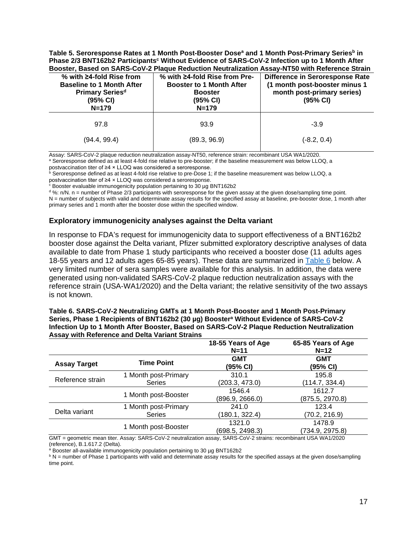**Table 5. Seroresponse Rates at 1 Month Post-Booster Dosea and 1 Month Post-Primary Seriesb in Phase 2/3 BNT162b2 Participants<sup>c</sup> Without Evidence of SARS-CoV-2 Infection up to 1 Month After Booster, Based on SARS-CoV-2 Plaque Reduction Neutralization Assay-NT50 with Reference Strain**

| % with $\geq$ 4-fold Rise from<br><b>Baseline to 1 Month After</b><br><b>Primary Seriesd</b><br>(95% CI)<br>$N = 179$ | % with ≥4-fold Rise from Pre-<br><b>Booster to 1 Month After</b><br><b>Booster</b><br>(95% CI)<br>$N = 179$ | <b>Difference in Seroresponse Rate</b><br>(1 month post-booster minus 1<br>month post-primary series)<br>$(95% \text{ Cl})$ |
|-----------------------------------------------------------------------------------------------------------------------|-------------------------------------------------------------------------------------------------------------|-----------------------------------------------------------------------------------------------------------------------------|
| 97.8                                                                                                                  | 93.9                                                                                                        | $-3.9$                                                                                                                      |
| (94.4, 99.4)                                                                                                          | (89.3, 96.9)                                                                                                | $(-8.2, 0.4)$                                                                                                               |

Assay: SARS-CoV-2 plaque reduction neutralization assay-NT50, reference strain: recombinant USA WA1/2020.<br><sup>a</sup> Seroresponse defined as at least 4-fold rise relative to pre-booster; if the baseline measurement was below LLOQ postvaccination titer of ≥4 × LLOQ was considered a seroresponse.

 $^{\rm b}$  Seroresponse defined as at least 4-fold rise relative to pre-Dose 1; if the baseline measurement was below LLOQ, a postvaccination titer of ≥4 × LLOQ was considered a seroresponse.

<sup>c</sup> Booster evaluable immunogenicity population pertaining to 30 µg BNT162b2

 $d\%$ : n/N. n = number of Phase 2/3 participants with seroresponse for the given assay at the given dose/sampling time point. N = number of subjects with valid and determinate assay results for the specified assay at baseline, pre-booster dose, 1 month after primary series and 1 month after the booster dose within the specified window.

### **Exploratory immunogenicity analyses against the Delta variant**

In response to FDA's request for immunogenicity data to support effectiveness of a BNT162b2 booster dose against the Delta variant, Pfizer submitted exploratory descriptive analyses of data available to date from Phase 1 study participants who received a booster dose (11 adults ages 18-55 years and 12 adults ages 65-85 years). These data are summarized in Table 6 below. A very limited number of sera samples were available for this analysis. In addition, the data were generated using non-validated SARS-CoV-2 plaque reduction neutralization assays with the reference strain (USA-WA1/2020) and the Delta variant; the relative sensitivity of the two assays is not known.

#### **Table 6. SARS-CoV-2 Neutralizing GMTs at 1 Month Post-Booster and 1 Month Post-Primary Series, Phase 1 Recipients of BNT162b2 (30 µg) Boostera Without Evidence of SARS-CoV-2 Infection Up to 1 Month After Booster, Based on SARS-CoV-2 Plaque Reduction Neutralization Assay with Reference and Delta Variant Strains**

|                     |                                       | 18-55 Years of Age<br>$N=11$ | 65-85 Years of Age<br>$N=12$ |
|---------------------|---------------------------------------|------------------------------|------------------------------|
| <b>Assay Target</b> | <b>Time Point</b>                     | <b>GMT</b><br>(95% CI)       | GMT<br>(95% CI)              |
| Reference strain    | 1 Month post-Primary<br><b>Series</b> | 310.1<br>(203.3, 473.0)      | 195.8<br>(114.7, 334.4)      |
|                     | 1 Month post-Booster                  | 1546.4<br>(896.9, 2666.0)    | 1612.7<br>(875.5, 2970.8)    |
| Delta variant       | 1 Month post-Primary<br><b>Series</b> | 241.0<br>(180.1, 322.4)      | 123.4<br>(70.2, 216.9)       |
|                     | 1 Month post-Booster                  | 1321.0<br>(698.5, 2498.3)    | 1478.9<br>(734.9, 2975.8)    |

GMT = geometric mean titer. Assay: SARS-CoV-2 neutralization assay, SARS-CoV-2 strains: recombinant USA WA1/2020 (reference), B.1.617.2 (Delta).

a Booster all-available immunogenicity population pertaining to 30 µg BNT162b2

 $b$  N = number of Phase 1 participants with valid and determinate assay results for the specified assays at the given dose/sampling time point.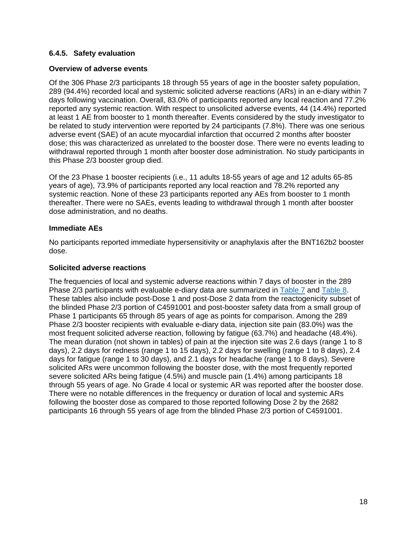### **6.4.5. Safety evaluation**

### **Overview of adverse events**

Of the 306 Phase 2/3 participants 18 through 55 years of age in the booster safety population, 289 (94.4%) recorded local and systemic solicited adverse reactions (ARs) in an e-diary within 7 days following vaccination. Overall, 83.0% of participants reported any local reaction and 77.2% reported any systemic reaction. With respect to unsolicited adverse events, 44 (14.4%) reported at least 1 AE from booster to 1 month thereafter. Events considered by the study investigator to be related to study intervention were reported by 24 participants (7.8%). There was one serious adverse event (SAE) of an acute myocardial infarction that occurred 2 months after booster dose; this was characterized as unrelated to the booster dose. There were no events leading to withdrawal reported through 1 month after booster dose administration. No study participants in this Phase 2/3 booster group died.

Of the 23 Phase 1 booster recipients (i.e., 11 adults 18-55 years of age and 12 adults 65-85 years of age), 73.9% of participants reported any local reaction and 78.2% reported any systemic reaction. None of these 23 participants reported any AEs from booster to 1 month thereafter. There were no SAEs, events leading to withdrawal through 1 month after booster dose administration, and no deaths.

#### **Immediate AEs**

No participants reported immediate hypersensitivity or anaphylaxis after the BNT162b2 booster dose.

#### **Solicited adverse reactions**

The frequencies of local and systemic adverse reactions within 7 days of booster in the 289 Phase 2/3 participants with evaluable e-diary data are summarized in Table 7 and Table 8. These tables also include post-Dose 1 and post-Dose 2 data from the reactogenicity subset of the blinded Phase 2/3 portion of C4591001 and post-booster safety data from a small group of Phase 1 participants 65 through 85 years of age as points for comparison. Among the 289 Phase 2/3 booster recipients with evaluable e-diary data, injection site pain (83.0%) was the most frequent solicited adverse reaction, following by fatigue (63.7%) and headache (48.4%). The mean duration (not shown in tables) of pain at the injection site was 2.6 days (range 1 to 8 days), 2.2 days for redness (range 1 to 15 days), 2.2 days for swelling (range 1 to 8 days), 2.4 days for fatigue (range 1 to 30 days), and 2.1 days for headache (range 1 to 8 days). Severe solicited ARs were uncommon following the booster dose, with the most frequently reported severe solicited ARs being fatigue (4.5%) and muscle pain (1.4%) among participants 18 through 55 years of age. No Grade 4 local or systemic AR was reported after the booster dose. There were no notable differences in the frequency or duration of local and systemic ARs following the booster dose as compared to those reported following Dose 2 by the 2682 participants 16 through 55 years of age from the blinded Phase 2/3 portion of C4591001.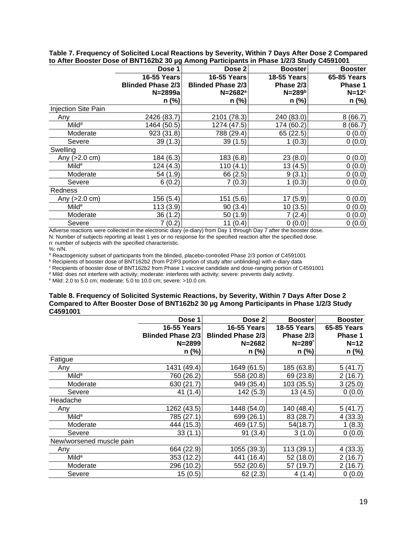| Dose 1             |             | <b>Booster</b>           | <b>Booster</b>                                                           |
|--------------------|-------------|--------------------------|--------------------------------------------------------------------------|
| <b>16-55 Years</b> |             | <b>18-55 Years</b>       | <b>65-85 Years</b>                                                       |
|                    |             | Phase 2/3                | Phase 1                                                                  |
| N=2899a            |             | $N = 289b$               | $N=12^c$                                                                 |
| $n$ (%)            | $n$ (%)     | n (%)                    | n (%)                                                                    |
|                    |             |                          |                                                                          |
| 2426 (83.7)        | 2101 (78.3) | 240 (83.0)               | 8(66.7)                                                                  |
| 1464 (50.5)        | 1274 (47.5) | 174 (60.2)               | 8(66.7)                                                                  |
| 923(31.8)          | 788 (29.4)  | 65 (22.5)                | 0(0.0)                                                                   |
| 39(1.3)            | 39(1.5)     | 1(0.3)                   | 0(0.0)                                                                   |
|                    |             |                          |                                                                          |
| 184 (6.3)          | 183 (6.8)   | 23(8.0)                  | 0(0.0)                                                                   |
| 124 (4.3)          | 110(4.1)    | 13 (4.5)                 | 0(0.0)                                                                   |
| 54 (1.9)           | 66 (2.5)    | 9(3.1)                   | 0(0.0)                                                                   |
| 6(0.2)             | 7(0.3)      | 1(0.3)                   | 0(0.0)                                                                   |
|                    |             |                          |                                                                          |
| 156(5.4)           | 151(5.6)    | 17(5.9)                  | 0(0.0)                                                                   |
| 113(3.9)           | 90(3.4)     | 10(3.5)                  | 0(0.0)                                                                   |
| 36(1.2)            | 50(1.9)     | 7(2.4)                   | 0(0.0)                                                                   |
| 7(0.2)             | 11(0.4)     | 0(0.0)                   | 0(0.0)                                                                   |
|                    |             | <b>Blinded Phase 2/3</b> | Dose 2<br><b>16-55 Years</b><br><b>Blinded Phase 2/3</b><br>$N = 2682^a$ |

**Table 7. Frequency of Solicited Local Reactions by Severity, Within 7 Days After Dose 2 Compared to After Booster Dose of BNT162b2 30 µg Among Participants in Phase 1/2/3 Study C4591001**

Adverse reactions were collected in the electronic diary (e-diary) from Day 1 through Day 7 after the booster dose. N: Number of subjects reporting at least 1 yes or no response for the specified reaction after the specified dose. n: number of subjects with the specified characteristic.

%: n/N.

<sup>a</sup> Reactogenicity subset of participants from the blinded, placebo-controlled Phase 2/3 portion of C4591001<br><sup>b</sup> Recipients of booster dose of BNT162b2 (from P2/P3 portion of study after unblinding) with e-diary data

<sup>c</sup> Recipients of booster dose of BNT162b2 from Phase 1 vaccine candidate and dose-ranging portion of C4591001

<sup>d</sup> Mild: does not interfere with activity; moderate: interferes with activity; severe: prevents daily activity.

<sup>e</sup> Mild: 2.0 to 5.0 cm; moderate: 5.0 to 10.0 cm; severe: >10.0 cm.

#### **Table 8. Frequency of Solicited Systemic Reactions, by Severity, Within 7 Days After Dose 2 Compared to After Booster Dose of BNT162b2 30 µg Among Participants in Phase 1/2/3 Study C4591001**

|                          | Dose 1                   | Dose 2                   | <b>Booster</b>     | <b>Booster</b>     |
|--------------------------|--------------------------|--------------------------|--------------------|--------------------|
|                          | <b>16-55 Years</b>       | <b>16-55 Years</b>       | <b>18-55 Years</b> | <b>65-85 Years</b> |
|                          | <b>Blinded Phase 2/3</b> | <b>Blinded Phase 2/3</b> | Phase 2/3          | Phase 1            |
|                          | $N = 2899$               | $N = 2682$               | $N = 289$          | $N=12$             |
|                          | $n$ (%)                  | $n$ (%)                  | n (%)              | n (%)              |
| Fatigue                  |                          |                          |                    |                    |
| Any                      | 1431 (49.4)              | 1649 (61.5)              | 185 (63.8)         | 5(41.7)            |
| Mild <sup>a</sup>        | 760 (26.2)               | 558 (20.8)               | 69 (23.8)          | 2(16.7)            |
| Moderate                 | 630 (21.7)               | 949 (35.4)               | 103 (35.5)         | 3(25.0)            |
| Severe                   | 41 (1.4)                 | 142(5.3)                 | 13 (4.5)           | 0(0.0)             |
| Headache                 |                          |                          |                    |                    |
| Any                      | 1262 (43.5)              | 1448 (54.0)              | 140 (48.4)         | 5(41.7)            |
| Mild <sup>a</sup>        | 785 (27.1)               | 699 (26.1)               | 83 (28.7)          | 4(33.3)            |
| Moderate                 | 444 (15.3)               | 469 (17.5)               | 54(18.7)           | 1(8.3)             |
| Severe                   | 33(1.1)                  | 91(3.4)                  | 3(1.0)             | 0(0.0)             |
| New/worsened muscle pain |                          |                          |                    |                    |
| Any                      | 664 (22.9)               | 1055 (39.3)              | 113 (39.1)         | 4(33.3)            |
| Mild <sup>a</sup>        | 353 (12.2)               | 441 (16.4)               | 52 (18.0)          | 2(16.7)            |
| Moderate                 | 296 (10.2)               | 552 (20.6)               | 57 (19.7)          | 2(16.7)            |
| Severe                   | 15(0.5)                  | 62(2.3)                  | 4(1.4)             | 0(0.0)             |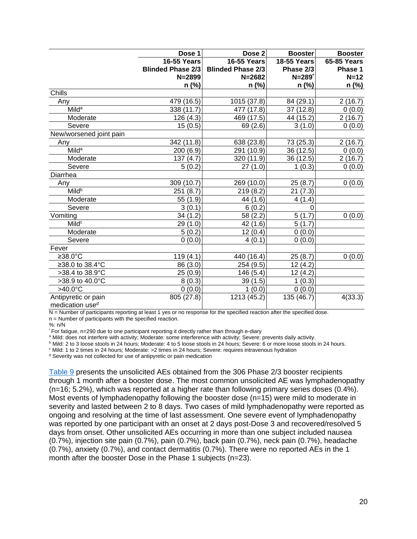|                             | Dose 1                   | Dose <sub>2</sub>        | <b>Booster</b>     | <b>Booster</b>     |
|-----------------------------|--------------------------|--------------------------|--------------------|--------------------|
|                             | <b>16-55 Years</b>       | <b>16-55 Years</b>       | <b>18-55 Years</b> | <b>65-85 Years</b> |
|                             | <b>Blinded Phase 2/3</b> | <b>Blinded Phase 2/3</b> | Phase 2/3          | Phase 1            |
|                             | $N = 2899$               | $N = 2682$               | $N=289$            | $N=12$             |
|                             | $n$ (%)                  | n (%)                    | n (%)              | n (%)              |
| Chills                      |                          |                          |                    |                    |
| Any                         | 479 (16.5)               | 1015 (37.8)              | 84 (29.1)          | 2(16.7)            |
| <b>Milda</b>                | 338 (11.7)               | 477 (17.8)               | 37 (12.8)          | 0(0.0)             |
| Moderate                    | 126 (4.3)                | 469 (17.5)               | 44 (15.2)          | 2(16.7)            |
| Severe                      | 15(0.5)                  | 69 (2.6)                 | 3(1.0)             | 0(0.0)             |
| New/worsened joint pain     |                          |                          |                    |                    |
| Any                         | 342 (11.8)               | 638 (23.8)               | 73 (25.3)          | 2(16.7)            |
| <b>Milda</b>                | 200 (6.9)                | 291 (10.9)               | 36 (12.5)          | 0(0.0)             |
| Moderate                    | 137(4.7)                 | 320 (11.9)               | 36 (12.5)          | 2(16.7)            |
| Severe                      | 5(0.2)                   | 27(1.0)                  | 1(0.3)             | 0(0.0)             |
| Diarrhea                    |                          |                          |                    |                    |
| Any                         | 309 (10.7)               | 269 (10.0)               | 25(8.7)            | 0(0.0)             |
| <b>Mild</b> <sup>b</sup>    | 251(8.7)                 | 219(8.2)                 | 21(7.3)            |                    |
| Moderate                    | 55 (1.9)                 | 44 (1.6)                 | 4(1.4)             |                    |
| Severe                      | 3(0.1)                   | 6(0.2)                   | $\overline{0}$     |                    |
| Vomiting                    | 34(1.2)                  | 58 (2.2)                 | 5(1.7)             | 0(0.0)             |
| Mild <sup>c</sup>           | 29 (1.0)                 | 42 (1.6)                 | 5(1.7)             |                    |
| Moderate                    | 5(0.2)                   | 12(0.4)                  | 0(0.0)             |                    |
| Severe                      | 0(0.0)                   | 4(0.1)                   | 0(0.0)             |                    |
| Fever                       |                          |                          |                    |                    |
| ≥38.0°C                     | 119(4.1)                 | 440 (16.4)               | 25(8.7)            | 0(0.0)             |
| ≥38.0 to 38.4°C             | 86 (3.0)                 | 254 (9.5)                | 12(4.2)            |                    |
| >38.4 to 38.9°C             | 25(0.9)                  | 146 (5.4)                | 12 (4.2)           |                    |
| >38.9 to 40.0°C             | 8(0.3)                   | 39 (1.5)                 | 1(0.3)             |                    |
| $>40.0^{\circ}$ C           | 0(0.0)                   | 1(0.0)                   | 0(0.0)             |                    |
| Antipyretic or pain         | 805 (27.8)               | 1213 (45.2)              | 135 (46.7)         | 4(33.3)            |
| medication use <sup>d</sup> |                          |                          |                    |                    |

N = Number of participants reporting at least 1 yes or no response for the specified reaction after the specified dose.

 $n =$  Number of participants with the specified reaction.

%: n/N

\* For fatigue, n=290 due to one participant reporting it directly rather than through e-diary

a Mild: does not interfere with activity; Moderate: some interference with activity; Severe: prevents daily activity.

<sup>b</sup> Mild: 2 to 3 loose stools in 24 hours; Moderate: 4 to 5 loose stools in 24 hours; Severe: 6 or more loose stools in 24 hours.

<sup>c</sup> Mild: 1 to 2 times in 24 hours; Moderate: >2 times in 24 hours; Severe: requires intravenous hydration

<sup>d</sup> Severity was not collected for use of antipyretic or pain medication

Table 9 presents the unsolicited AEs obtained from the 306 Phase 2/3 booster recipients through 1 month after a booster dose. The most common unsolicited AE was lymphadenopathy (n=16; 5.2%), which was reported at a higher rate than following primary series doses (0.4%). Most events of lymphadenopathy following the booster dose (n=15) were mild to moderate in severity and lasted between 2 to 8 days. Two cases of mild lymphadenopathy were reported as ongoing and resolving at the time of last assessment. One severe event of lymphadenopathy was reported by one participant with an onset at 2 days post-Dose 3 and recovered/resolved 5 days from onset. Other unsolicited AEs occurring in more than one subject included nausea (0.7%), injection site pain (0.7%), pain (0.7%), back pain (0.7%), neck pain (0.7%), headache (0.7%), anxiety (0.7%), and contact dermatitis (0.7%). There were no reported AEs in the 1 month after the booster Dose in the Phase 1 subjects (n=23).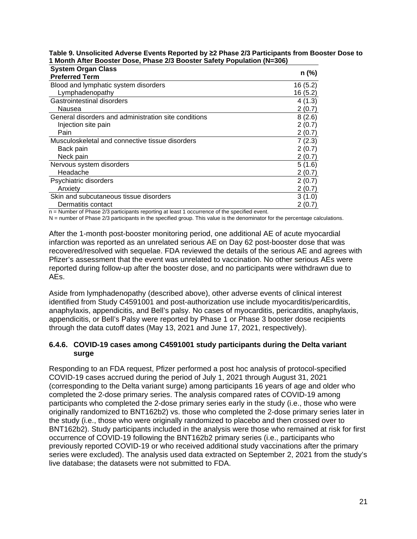| <b>System Organ Class</b>                            |         |
|------------------------------------------------------|---------|
| <b>Preferred Term</b>                                | n (%)   |
| Blood and lymphatic system disorders                 | 16(5.2) |
| Lymphadenopathy                                      | 16(5.2) |
| Gastrointestinal disorders                           | 4(1.3)  |
| Nausea                                               | 2(0.7)  |
| General disorders and administration site conditions | 8(2.6)  |
| Injection site pain                                  | 2(0.7)  |
| Pain                                                 | 2(0.7)  |
| Musculoskeletal and connective tissue disorders      | 7(2.3)  |
| Back pain                                            | 2(0.7)  |
| Neck pain                                            | 2(0.7)  |
| Nervous system disorders                             | 5(1.6)  |
| Headache                                             | 2(0.7)  |
| Psychiatric disorders                                | 2(0.7)  |
| Anxietv                                              | 2(0.7)  |
| Skin and subcutaneous tissue disorders               | 3(1.0)  |
| Dermatitis contact                                   | 2(0.7)  |

**Table 9. Unsolicited Adverse Events Reported by ≥2 Phase 2/3 Participants from Booster Dose to 1 Month After Booster Dose, Phase 2/3 Booster Safety Population (N=306)**

n = Number of Phase 2/3 participants reporting at least 1 occurrence of the specified event.

N = number of Phase 2/3 participants in the specified group. This value is the denominator for the percentage calculations.

After the 1-month post-booster monitoring period, one additional AE of acute myocardial infarction was reported as an unrelated serious AE on Day 62 post-booster dose that was recovered/resolved with sequelae. FDA reviewed the details of the serious AE and agrees with Pfizer's assessment that the event was unrelated to vaccination. No other serious AEs were reported during follow-up after the booster dose, and no participants were withdrawn due to AEs.

Aside from lymphadenopathy (described above), other adverse events of clinical interest identified from Study C4591001 and post-authorization use include myocarditis/pericarditis, anaphylaxis, appendicitis, and Bell's palsy. No cases of myocarditis, pericarditis, anaphylaxis, appendicitis, or Bell's Palsy were reported by Phase 1 or Phase 3 booster dose recipients through the data cutoff dates (May 13, 2021 and June 17, 2021, respectively).

#### **6.4.6. COVID-19 cases among C4591001 study participants during the Delta variant surge**

Responding to an FDA request, Pfizer performed a post hoc analysis of protocol-specified COVID-19 cases accrued during the period of July 1, 2021 through August 31, 2021 (corresponding to the Delta variant surge) among participants 16 years of age and older who completed the 2-dose primary series. The analysis compared rates of COVID-19 among participants who completed the 2-dose primary series early in the study (i.e., those who were originally randomized to BNT162b2) vs. those who completed the 2-dose primary series later in the study (i.e., those who were originally randomized to placebo and then crossed over to BNT162b2). Study participants included in the analysis were those who remained at risk for first occurrence of COVID-19 following the BNT162b2 primary series (i.e., participants who previously reported COVID-19 or who received additional study vaccinations after the primary series were excluded). The analysis used data extracted on September 2, 2021 from the study's live database; the datasets were not submitted to FDA.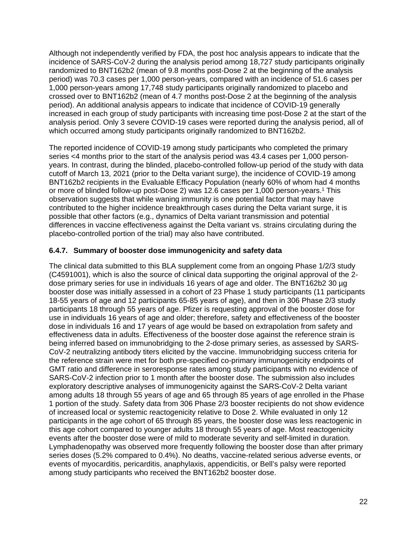Although not independently verified by FDA, the post hoc analysis appears to indicate that the incidence of SARS-CoV-2 during the analysis period among 18,727 study participants originally randomized to BNT162b2 (mean of 9.8 months post-Dose 2 at the beginning of the analysis period) was 70.3 cases per 1,000 person-years, compared with an incidence of 51.6 cases per 1,000 person-years among 17,748 study participants originally randomized to placebo and crossed over to BNT162b2 (mean of 4.7 months post-Dose 2 at the beginning of the analysis period). An additional analysis appears to indicate that incidence of COVID-19 generally increased in each group of study participants with increasing time post-Dose 2 at the start of the analysis period. Only 3 severe COVID-19 cases were reported during the analysis period, all of which occurred among study participants originally randomized to BNT162b2.

The reported incidence of COVID-19 among study participants who completed the primary series <4 months prior to the start of the analysis period was 43.4 cases per 1,000 personyears. In contrast, during the blinded, placebo-controlled follow-up period of the study with data cutoff of March 13, 2021 (prior to the Delta variant surge), the incidence of COVID-19 among BNT162b2 recipients in the Evaluable Efficacy Population (nearly 60% of whom had 4 months or more of blinded follow-up post-Dose 2) was 12.6 cases per 1,000 person-years. <sup>1</sup> This observation suggests that while waning immunity is one potential factor that may have contributed to the higher incidence breakthrough cases during the Delta variant surge, it is possible that other factors (e.g., dynamics of Delta variant transmission and potential differences in vaccine effectiveness against the Delta variant vs. strains circulating during the placebo-controlled portion of the trial) may also have contributed.

### **6.4.7. Summary of booster dose immunogenicity and safety data**

The clinical data submitted to this BLA supplement come from an ongoing Phase 1/2/3 study (C4591001), which is also the source of clinical data supporting the original approval of the 2 dose primary series for use in individuals 16 years of age and older. The BNT162b2 30 µg booster dose was initially assessed in a cohort of 23 Phase 1 study participants (11 participants 18-55 years of age and 12 participants 65-85 years of age), and then in 306 Phase 2/3 study participants 18 through 55 years of age. Pfizer is requesting approval of the booster dose for use in individuals 16 years of age and older; therefore, safety and effectiveness of the booster dose in individuals 16 and 17 years of age would be based on extrapolation from safety and effectiveness data in adults. Effectiveness of the booster dose against the reference strain is being inferred based on immunobridging to the 2-dose primary series, as assessed by SARS-CoV-2 neutralizing antibody titers elicited by the vaccine. Immunobridging success criteria for the reference strain were met for both pre-specified co-primary immunogenicity endpoints of GMT ratio and difference in seroresponse rates among study participants with no evidence of SARS-CoV-2 infection prior to 1 month after the booster dose. The submission also includes exploratory descriptive analyses of immunogenicity against the SARS-CoV-2 Delta variant among adults 18 through 55 years of age and 65 through 85 years of age enrolled in the Phase 1 portion of the study. Safety data from 306 Phase 2/3 booster recipients do not show evidence of increased local or systemic reactogenicity relative to Dose 2. While evaluated in only 12 participants in the age cohort of 65 through 85 years, the booster dose was less reactogenic in this age cohort compared to younger adults 18 through 55 years of age. Most reactogenicity events after the booster dose were of mild to moderate severity and self-limited in duration. Lymphadenopathy was observed more frequently following the booster dose than after primary series doses (5.2% compared to 0.4%). No deaths, vaccine-related serious adverse events, or events of myocarditis, pericarditis, anaphylaxis, appendicitis, or Bell's palsy were reported among study participants who received the BNT162b2 booster dose.